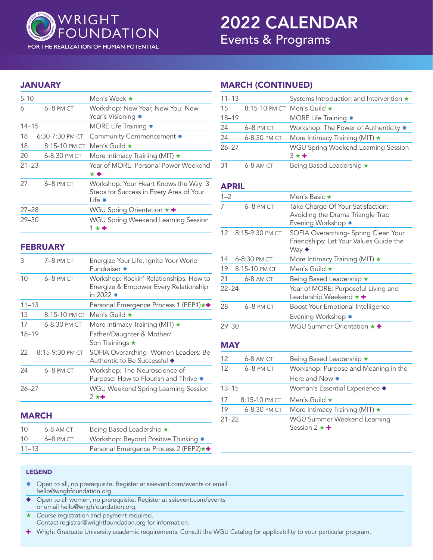

#### FOR THE REALIZATION OF HUMAN POTENTIAL

# 2022 CALENDAR Events & Programs

## JANUARY

| $5 - 10$  |                 | Men's Week ★                                                                                          |
|-----------|-----------------|-------------------------------------------------------------------------------------------------------|
| 6         | 6-8 PM CT       | Workshop: New Year, New You: New<br>Year's Visioning *                                                |
| $14 - 15$ |                 | MORE Life Training *                                                                                  |
| 18        | 6:30-7:30 PM CT | Community Commencement *                                                                              |
| 18        | 8:15-10 PM CT   | Men's Guild $\star$                                                                                   |
| 20        | 6-8:30 PM CT    | More Intimacy Training (MIT) $\star$                                                                  |
| $21 - 23$ |                 | Year of MORE: Personal Power Weekend<br>* +                                                           |
| 27        | 6-8 PM CT       | Workshop: Your Heart Knows the Way: 3<br>Steps for Success in Every Area of Your<br>∣ife <sub>*</sub> |
| $27 - 28$ |                 | WGU Spring Orientation $\star$ +                                                                      |
| $29 - 30$ |                 | <b>WGU Spring Weekend Learning Session</b><br>$1 \star +$                                             |

## **FEBRUARY**

| 3         | 7-8 PM CT       | Energize Your Life, Ignite Your World<br>Fundraiser *                                           |
|-----------|-----------------|-------------------------------------------------------------------------------------------------|
| 10        | $6-8$ PM CT     | Workshop: Rockin' Relationships: How to<br>Energize & Empower Every Relationship<br>in 2022 $*$ |
| $11 - 13$ |                 | Personal Emergence Process 1 (PEP1)★+                                                           |
| 15        |                 | 8:15-10 PM CT Men's Guild $\star$                                                               |
| 17        | 6-8:30 PM CT    | More Intimacy Training (MIT) $\star$                                                            |
| $18 - 19$ |                 | Father/Daughter & Mother/<br>Son Trainings $\star$                                              |
| 22        | 8:15-9:30 PM CT | SOFIA Overarching-Women Leaders: Be<br>Authentic to Be Successful ◆                             |
| 24        | 6-8 PM CT       | Workshop: The Neuroscience of<br>Purpose: How to Flourish and Thrive *                          |
| $26 - 27$ |                 | WGU Weekend Spring Learning Session<br>$2 \star +$                                              |
|           |                 |                                                                                                 |

## MARCH

| 10        | $6-8$ AM CT | Being Based Leadership ★                |
|-----------|-------------|-----------------------------------------|
| 10        | $6-8$ PM CT | Workshop: Beyond Positive Thinking *    |
| $11 - 13$ |             | Personal Emergence Process 2 (PEP2) * + |

## MARCH (CONTINUED)

| $11 - 13$ |              | Systems Introduction and Intervention *            |
|-----------|--------------|----------------------------------------------------|
| 15        |              | 8:15-10 PM CT Men's Guild ★                        |
| $18 - 19$ |              | MORE Life Training *                               |
| 24        | $6-8$ PM CT  | Workshop: The Power of Authenticity *              |
| 24        | 6-8:30 PM CT | More Intimacy Training (MIT) $\star$               |
| $26 - 27$ |              | WGU Spring Weekend Learning Session<br>$3 \star +$ |
| 31        | 6-8 AM CT    | Being Based Leadership *                           |

#### APRIL

| $1 - 2$    |                 | Men's Basic ★                                                                                         |
|------------|-----------------|-------------------------------------------------------------------------------------------------------|
| 7          | 6-8 PM CT       | Take Charge Of Your Satisfaction:<br>Avoiding the Drama Triangle Trap<br>Evening Workshop *           |
| 12         | 8:15-9:30 PM CT | SOFIA Overarching- Spring Clean Your<br>Friendships: Let Your Values Guide the<br>Way $\blacklozenge$ |
| 14         | 6-8:30 PM CT    | More Intimacy Training (MIT) *                                                                        |
| 19         | 8:15-10 PM CT   | Men's Guild $\star$                                                                                   |
| 21         | 6-8 AM CT       | Being Based Leadership *                                                                              |
| $22 - 24$  |                 | Year of MORE: Purposeful Living and<br>Leadership Weekend ★ +                                         |
| 28         | 6-8 PM CT       | Boost Your Emotional Intelligence<br>Evening Workshop *                                               |
| $29 - 30$  |                 | WGU Summer Orientation $\star$ +                                                                      |
| <b>MAY</b> |                 |                                                                                                       |
| 12         | 6-8 AM CT       | Being Based Leadership *                                                                              |
| 12         | 6-8 PM CT       | Workshop: Purpose and Meaning in the<br>Here and Now *                                                |
| $13 - 15$  |                 | Woman's Essential Experience ◆                                                                        |
| 17         | 8:15-10 PM CT   | Men's Guild $\star$                                                                                   |
| 19         | 6-8:30 PM CT    | More Intimacy Training (MIT) *                                                                        |
| $21 - 22$  |                 | WGU Summer Weekend Learning                                                                           |

Session  $2 \star \bullet$ 

#### LEGEND

- \* Open to all, no prerequisite. Register at seievent.com/events or email hello@wrighfoundation.org.
- ◆ Open to all women, no prerequisite. Register at seievent.com/events or email hello@wrighfoundation.org.
- $\star$  Course registration and payment required. Contact registrar@wrightfoundation.org for information.

: Wright Graduate University academic requirements. Consult the WGU Catalog for applicability to your particular program.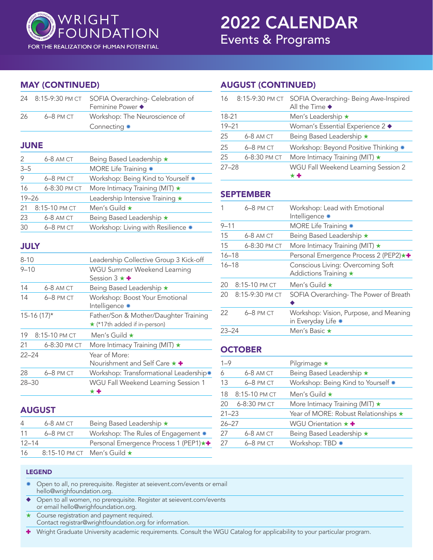

2022 CALENDAR Events & Programs

## MAY (CONTINUED)

| 24          | 8:15-9:30 PM CT | SOFIA Overarching- Celebration of<br>Feminine Power ◆                 |
|-------------|-----------------|-----------------------------------------------------------------------|
| 26          | 6-8 PM CT       | Workshop: The Neuroscience of<br>Connecting *                         |
|             | <b>JUNE</b>     |                                                                       |
| 2           | 6-8 AM CT       | Being Based Leadership *                                              |
| $3 - 5$     |                 | MORE Life Training *                                                  |
| 9           | 6-8 PM CT       | Workshop: Being Kind to Yourself *                                    |
| 16          | 6-8:30 PM CT    | More Intimacy Training (MIT) *                                        |
| $19 - 26$   |                 | Leadership Intensive Training *                                       |
| 21          | 8:15-10 PM CT   | Men's Guild ★                                                         |
| 23          | 6-8 AM CT       | Being Based Leadership *                                              |
| 30          | 6-8 PM CT       | Workshop: Living with Resilience *                                    |
| <b>JULY</b> |                 |                                                                       |
| $8 - 10$    |                 | Leadership Collective Group 3 Kick-off                                |
| $9 - 10$    |                 | WGU Summer Weekend Learning<br>Session 3 $\star$ +                    |
| 14          | 6-8 AM CT       | Being Based Leadership *                                              |
| 14          | 6-8 PM CT       | Workshop: Boost Your Emotional<br>Intelligence *                      |
|             | $15-16(17)$ *   | Father/Son & Mother/Daughter Training<br>* (*17th added if in-person) |
| 19          | 8:15-10 PM CT   | Men's Guild $\star$                                                   |
| 21          | 6-8:30 PM CT    | More Intimacy Training (MIT) $\star$                                  |
| $22 - 24$   |                 | Year of More:<br>Nourishment and Self Care * +                        |
| 28          | 6-8 PM CT       | Workshop: Transformational Leadership*                                |
| $28 - 30$   |                 | WGU Fall Weekend Learning Session 1<br>$\star\, \textbf{+}$           |

## AUGUST

| 4         | $6-8$ AM CT | Being Based Leadership ★              |
|-----------|-------------|---------------------------------------|
| 11        | $6-8$ PM CT | Workshop: The Rules of Engagement *   |
| $12 - 14$ |             | Personal Emergence Process 1 (PEP1)★+ |
| 16        |             | 8:15-10 PM CT Men's Guild $\star$     |

# AUGUST (CONTINUED)

| 16        |              | 8:15-9:30 PM CT SOFIA Overarching- Being Awe-Inspired<br>All the Time $\blacklozenge$ |
|-----------|--------------|---------------------------------------------------------------------------------------|
| $18 - 21$ |              | Men's Leadership ★                                                                    |
| $19 - 21$ |              | Woman's Essential Experience 2 ◆                                                      |
| 25        | $6-8$ AM CT  | Being Based Leadership *                                                              |
| 25        | $6-8$ PM CT  | Workshop: Beyond Positive Thinking *                                                  |
| 25        | 6-8:30 PM CT | More Intimacy Training (MIT) $\star$                                                  |
| $27 - 28$ |              | WGU Fall Weekend Learning Session 2<br>**                                             |

# SEPTEMBER

|           | $6-8$ PM CT     | Workshop: Lead with Emotional<br>Intelligence *              |
|-----------|-----------------|--------------------------------------------------------------|
| $9 - 11$  |                 | MORE Life Training *                                         |
| 15        | 6-8 AM CT       | Being Based Leadership ★                                     |
| 15        | 6-8:30 PM CT    | More Intimacy Training (MIT) $\star$                         |
| $16 - 18$ |                 | Personal Emergence Process 2 (PEP2)★+                        |
| $16 - 18$ |                 | Conscious Living: Overcoming Soft<br>Addictions Training ★   |
| 20        | 8:15-10 PM CT   | Men's Guild $\star$                                          |
| 20        | 8:15-9:30 PM CT | SOFIA Overarching-The Power of Breath                        |
| 22        | 6-8 PM CT       | Workshop: Vision, Purpose, and Meaning<br>in Everyday Life * |
| $23 - 24$ |                 | Men's Basic ★                                                |

# **OCTOBER**

|           | Pilgrimage $\star$                                            |
|-----------|---------------------------------------------------------------|
| 6-8 AM CT | Being Based Leadership ★                                      |
| 6-8 PM CT | Workshop: Being Kind to Yourself *                            |
|           | Men's Guild $\star$                                           |
|           | More Intimacy Training (MIT) $\star$                          |
|           | Year of MORE: Robust Relationships ★                          |
|           | WGU Orientation $\star$ +                                     |
| 6-8 AM CT | Being Based Leadership *                                      |
| 6-8 PM CT | Workshop: TBD *                                               |
|           | 18 8:15-10 PM CT<br>20 6-8:30 PM CT<br>$21 - 23$<br>$26 - 27$ |

#### LEGEND

- Open to all, no prerequisite. Register at seievent.com/events or email hello@wrighfoundation.org.
- ◆ Open to all women, no prerequisite. Register at seievent.com/events or email hello@wrighfoundation.org.
- $\star$  Course registration and payment required. Contact registrar@wrightfoundation.org for information.

: Wright Graduate University academic requirements. Consult the WGU Catalog for applicability to your particular program.